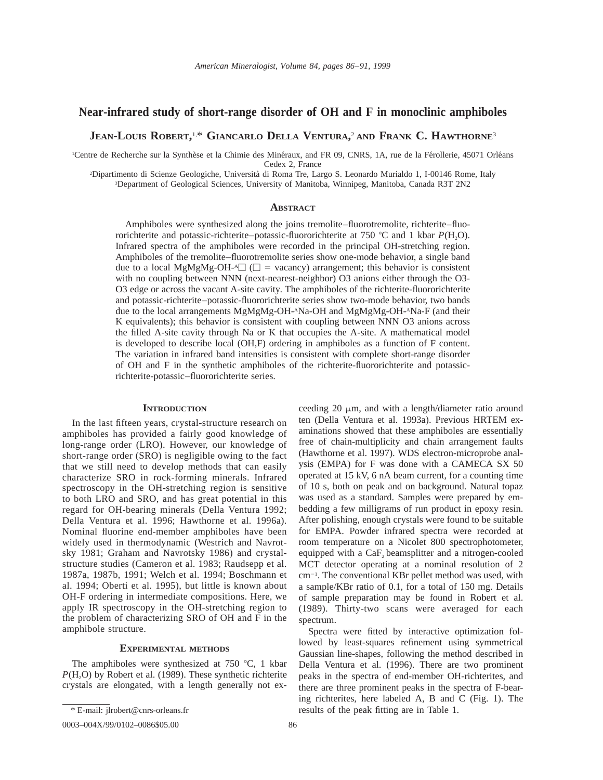# **Near-infrared study of short-range disorder of OH and F in monoclinic amphiboles**

**JEAN-LOUIS ROBERT,** 1,\* **GIANCARLO DELLA VENTURA,** <sup>2</sup> **AND FRANK C. HAWTHORNE**<sup>3</sup>

<sup>1</sup>Centre de Recherche sur la Synthèse et la Chimie des Minéraux, and FR 09, CNRS, 1A, rue de la Férollerie, 45071 Orléans Cedex 2, France

2 Dipartimento di Scienze Geologiche, Universita` di Roma Tre, Largo S. Leonardo Murialdo 1, I-00146 Rome, Italy 3 Department of Geological Sciences, University of Manitoba, Winnipeg, Manitoba, Canada R3T 2N2

#### **ABSTRACT**

Amphiboles were synthesized along the joins tremolite–fluorotremolite, richterite–fluororichterite and potassic-richterite–potassic-fluororichterite at 750 °C and 1 kbar *P*(H<sub>2</sub>O). Infrared spectra of the amphiboles were recorded in the principal OH-stretching region. Amphiboles of the tremolite–fluorotremolite series show one-mode behavior, a single band due to a local MgMgMg-OH- $\triangleq$  ( $\square$  = vacancy) arrangement; this behavior is consistent with no coupling between NNN (next-nearest-neighbor) O3 anions either through the O3- O3 edge or across the vacant A-site cavity. The amphiboles of the richterite-fluororichterite and potassic-richterite–potassic-fluororichterite series show two-mode behavior, two bands due to the local arrangements MgMgMg-OH-ANa-OH and MgMgMg-OH-ANa-F (and their K equivalents); this behavior is consistent with coupling between NNN O3 anions across the filled A-site cavity through Na or K that occupies the A-site. A mathematical model is developed to describe local (OH,F) ordering in amphiboles as a function of F content. The variation in infrared band intensities is consistent with complete short-range disorder of OH and F in the synthetic amphiboles of the richterite-fluororichterite and potassicrichterite-potassic–fluororichterite series.

#### **INTRODUCTION**

In the last fifteen years, crystal-structure research on amphiboles has provided a fairly good knowledge of long-range order (LRO). However, our knowledge of short-range order (SRO) is negligible owing to the fact that we still need to develop methods that can easily characterize SRO in rock-forming minerals. Infrared spectroscopy in the OH-stretching region is sensitive to both LRO and SRO, and has great potential in this regard for OH-bearing minerals (Della Ventura 1992; Della Ventura et al. 1996; Hawthorne et al. 1996a). Nominal fluorine end-member amphiboles have been widely used in thermodynamic (Westrich and Navrotsky 1981; Graham and Navrotsky 1986) and crystalstructure studies (Cameron et al. 1983; Raudsepp et al. 1987a, 1987b, 1991; Welch et al. 1994; Boschmann et al. 1994; Oberti et al. 1995), but little is known about OH-F ordering in intermediate compositions. Here, we apply IR spectroscopy in the OH-stretching region to the problem of characterizing SRO of OH and F in the amphibole structure.

## **EXPERIMENTAL METHODS**

The amphiboles were synthesized at  $750$  °C, 1 kbar  $P(H<sub>2</sub>O)$  by Robert et al. (1989). These synthetic richterite crystals are elongated, with a length generally not ex-

ceeding 20  $\mu$ m, and with a length/diameter ratio around ten (Della Ventura et al. 1993a). Previous HRTEM examinations showed that these amphiboles are essentially free of chain-multiplicity and chain arrangement faults (Hawthorne et al. 1997). WDS electron-microprobe analysis (EMPA) for F was done with a CAMECA SX 50 operated at 15 kV, 6 nA beam current, for a counting time of 10 s, both on peak and on background. Natural topaz was used as a standard. Samples were prepared by embedding a few milligrams of run product in epoxy resin. After polishing, enough crystals were found to be suitable for EMPA. Powder infrared spectra were recorded at room temperature on a Nicolet 800 spectrophotometer, equipped with a  $CaF<sub>2</sub>$  beamsplitter and a nitrogen-cooled MCT detector operating at a nominal resolution of 2  $cm^{-1}$ . The conventional KBr pellet method was used, with a sample/KBr ratio of 0.1, for a total of 150 mg. Details of sample preparation may be found in Robert et al. (1989). Thirty-two scans were averaged for each spectrum.

Spectra were fitted by interactive optimization followed by least-squares refinement using symmetrical Gaussian line-shapes, following the method described in Della Ventura et al. (1996). There are two prominent peaks in the spectra of end-member OH-richterites, and there are three prominent peaks in the spectra of F-bearing richterites, here labeled A, B and C (Fig. 1). The results of the peak fitting are in Table 1.

<sup>\*</sup> E-mail: jlrobert@cnrs-orleans.fr

<sup>0003-004</sup>X/99/0102-0086\$05.00 86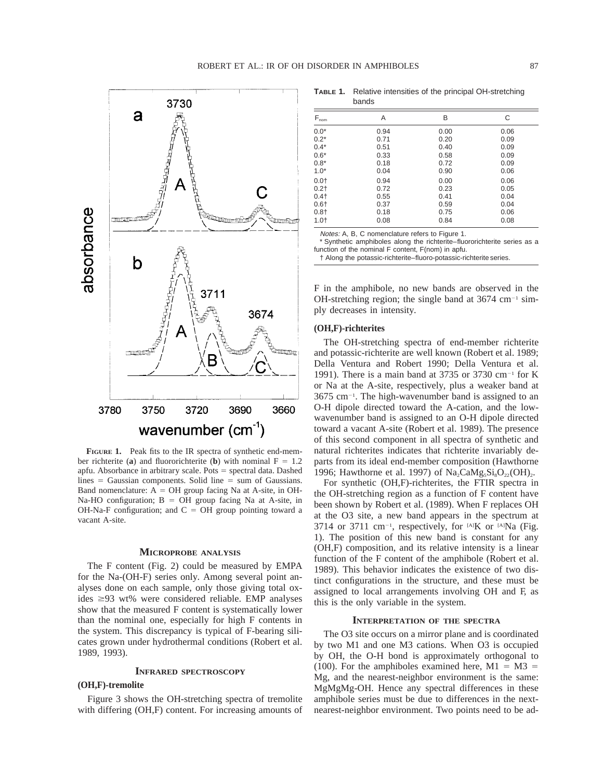

**FIGURE 1.** Peak fits to the IR spectra of synthetic end-member richterite (**a**) and fluororichterite (**b**) with nominal  $F = 1.2$ apfu. Absorbance in arbitrary scale. Pots = spectral data. Dashed lines  $=$  Gaussian components. Solid line  $=$  sum of Gaussians. Band nomenclature:  $A = OH$  group facing Na at A-site, in OH-Na-HO configuration;  $B = OH$  group facing Na at A-site, in OH-Na-F configuration; and  $C = OH$  group pointing toward a vacant A-site.

## **MICROPROBE ANALYSIS**

The F content (Fig. 2) could be measured by EMPA for the Na-(OH-F) series only. Among several point analyses done on each sample, only those giving total oxides  $\geq$ 93 wt% were considered reliable. EMP analyses show that the measured F content is systematically lower than the nominal one, especially for high F contents in the system. This discrepancy is typical of F-bearing silicates grown under hydrothermal conditions (Robert et al. 1989, 1993).

### **INFRARED SPECTROSCOPY**

#### **(OH,F)-tremolite**

Figure 3 shows the OH-stretching spectra of tremolite with differing (OH,F) content. For increasing amounts of

**TABLE 1.** Relative intensities of the principal OH-stretching bands

| $F_{nom}$ | A    | B    | C    |
|-----------|------|------|------|
| $0.0*$    | 0.94 | 0.00 | 0.06 |
| $0.2^*$   | 0.71 | 0.20 | 0.09 |
| $0.4*$    | 0.51 | 0.40 | 0.09 |
| $0.6*$    | 0.33 | 0.58 | 0.09 |
| $0.8*$    | 0.18 | 0.72 | 0.09 |
| $1.0*$    | 0.04 | 0.90 | 0.06 |
| 0.0†      | 0.94 | 0.00 | 0.06 |
| 0.2†      | 0.72 | 0.23 | 0.05 |
| 0.4†      | 0.55 | 0.41 | 0.04 |
| 0.6†      | 0.37 | 0.59 | 0.04 |
| 0.8†      | 0.18 | 0.75 | 0.06 |
| 1.0†      | 0.08 | 0.84 | 0.08 |

Notes: A, B, C nomenclature refers to Figure 1.

\* Synthetic amphiboles along the richterite–fluororichterite series as a function of the nominal F content, F(nom) in apfu.

† Along the potassic-richterite–fluoro-potassic-richterite series.

F in the amphibole, no new bands are observed in the OH-stretching region; the single band at  $3674 \text{ cm}^{-1} \text{ sim}$ ply decreases in intensity.

#### **(OH,F)-richterites**

The OH-stretching spectra of end-member richterite and potassic-richterite are well known (Robert et al. 1989; Della Ventura and Robert 1990; Della Ventura et al. 1991). There is a main band at 3735 or 3730 cm<sup>-1</sup> for K or Na at the A-site, respectively, plus a weaker band at  $3675$  cm<sup>-1</sup>. The high-wavenumber band is assigned to an O-H dipole directed toward the A-cation, and the lowwavenumber band is assigned to an O-H dipole directed toward a vacant A-site (Robert et al. 1989). The presence of this second component in all spectra of synthetic and natural richterites indicates that richterite invariably departs from its ideal end-member composition (Hawthorne 1996; Hawthorne et al. 1997) of  $\text{Na}_2\text{CaMg}_5\text{Si}_8\text{O}_{22}(\text{OH})_2$ .

For synthetic (OH,F)-richterites, the FTIR spectra in the OH-stretching region as a function of F content have been shown by Robert et al. (1989). When F replaces OH at the O3 site, a new band appears in the spectrum at 3714 or 3711 cm<sup>-1</sup>, respectively, for  $[A]K$  or  $[A]Na$  (Fig. 1). The position of this new band is constant for any (OH,F) composition, and its relative intensity is a linear function of the F content of the amphibole (Robert et al. 1989). This behavior indicates the existence of two distinct configurations in the structure, and these must be assigned to local arrangements involving OH and F, as this is the only variable in the system.

#### **INTERPRETATION OF THE SPECTRA**

The O3 site occurs on a mirror plane and is coordinated by two M1 and one M3 cations. When O3 is occupied by OH, the O-H bond is approximately orthogonal to (100). For the amphiboles examined here,  $M1 = M3 =$ Mg, and the nearest-neighbor environment is the same: MgMgMg-OH. Hence any spectral differences in these amphibole series must be due to differences in the nextnearest-neighbor environment. Two points need to be ad-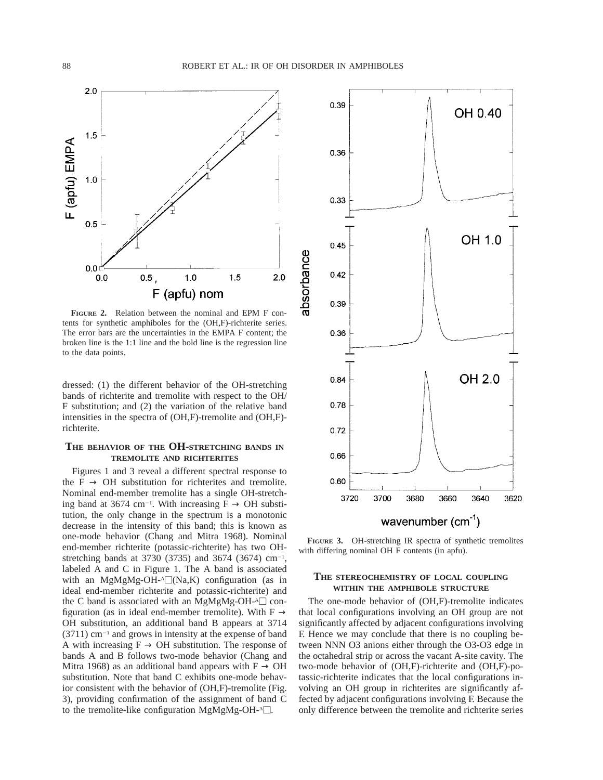

**FIGURE 2.** Relation between the nominal and EPM F contents for synthetic amphiboles for the (OH,F)-richterite series. The error bars are the uncertainties in the EMPA F content; the broken line is the 1:1 line and the bold line is the regression line to the data points.

dressed: (1) the different behavior of the OH-stretching bands of richterite and tremolite with respect to the OH/ F substitution; and (2) the variation of the relative band intensities in the spectra of (OH,F)-tremolite and (OH,F) richterite.

## **THE BEHAVIOR OF THE OH-STRETCHING BANDS IN TREMOLITE AND RICHTERITES**

Figures 1 and 3 reveal a different spectral response to the F  $\rightarrow$  OH substitution for richterites and tremolite. Nominal end-member tremolite has a single OH-stretching band at 3674 cm<sup>-1</sup>. With increasing  $F \rightarrow OH$  substitution, the only change in the spectrum is a monotonic decrease in the intensity of this band; this is known as one-mode behavior (Chang and Mitra 1968). Nominal end-member richterite (potassic-richterite) has two OHstretching bands at 3730 (3735) and 3674 (3674)  $cm^{-1}$ , labeled A and C in Figure 1. The A band is associated with an MgMgMg-OH- $\triangleq$  (Na,K) configuration (as in ideal end-member richterite and potassic-richterite) and the C band is associated with an MgMgMg-OH- $\triangleq$  configuration (as in ideal end-member tremolite). With F  $\rightarrow$ OH substitution, an additional band B appears at 3714  $(3711)$  cm<sup>-1</sup> and grows in intensity at the expense of band A with increasing  $F \rightarrow OH$  substitution. The response of bands A and B follows two-mode behavior (Chang and Mitra 1968) as an additional band appears with  $F \rightarrow OH$ substitution. Note that band C exhibits one-mode behavior consistent with the behavior of (OH,F)-tremolite (Fig. 3), providing confirmation of the assignment of band C to the tremolite-like configuration MgMgMg-OH- $^{\text{A}}\Box$ .



**FIGURE 3.** OH-stretching IR spectra of synthetic tremolites with differing nominal OH F contents (in apfu).

## **THE STEREOCHEMISTRY OF LOCAL COUPLING WITHIN THE AMPHIBOLE STRUCTURE**

The one-mode behavior of (OH,F)-tremolite indicates that local configurations involving an OH group are not significantly affected by adjacent configurations involving F. Hence we may conclude that there is no coupling between NNN O3 anions either through the O3-O3 edge in the octahedral strip or across the vacant A-site cavity. The two-mode behavior of (OH,F)-richterite and (OH,F)-potassic-richterite indicates that the local configurations involving an OH group in richterites are significantly affected by adjacent configurations involving F. Because the only difference between the tremolite and richterite series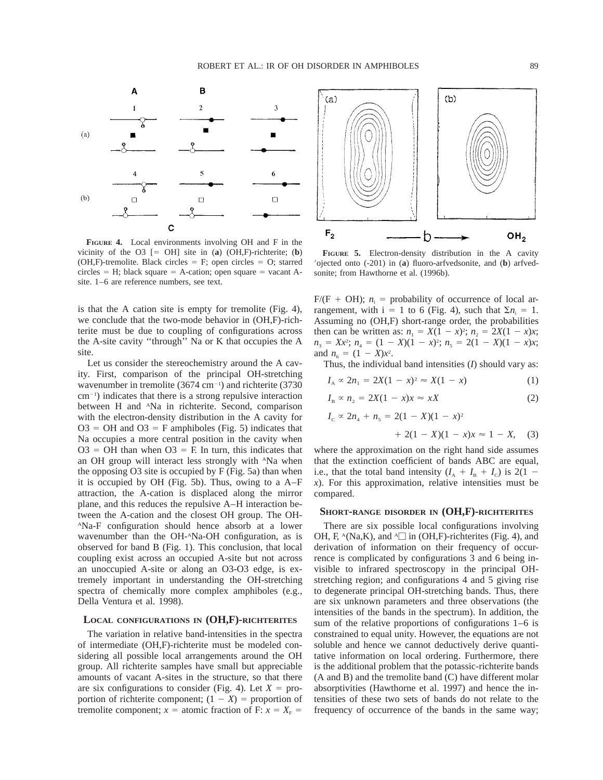

**FIGURE 4.** Local environments involving OH and F in the vicinity of the O3  $[= OH]$  site in (**a**) (OH,F)-richterite; (**b**) (OH,F)-tremolite. Black circles  $=$  F; open circles  $=$  O; starred  $circles = H$ ; black square  $= A$ -cation; open square  $= vacant A$ site. 1–6 are reference numbers, see text.

is that the A cation site is empty for tremolite (Fig. 4), we conclude that the two-mode behavior in (OH,F)-richterite must be due to coupling of configurations across the A-site cavity ''through'' Na or K that occupies the A site.

Let us consider the stereochemistry around the A cavity. First, comparison of the principal OH-stretching wavenumber in tremolite  $(3674 \text{ cm}^{-1})$  and richterite  $(3730 \text{ m})$  $cm<sup>-1</sup>$ ) indicates that there is a strong repulsive interaction between H and <sup>A</sup>Na in richterite. Second, comparison with the electron-density distribution in the A cavity for  $O3 = OH$  and  $O3 = F$  amphiboles (Fig. 5) indicates that Na occupies a more central position in the cavity when  $O3 = OH$  than when  $O3 = F$ . In turn, this indicates that an OH group will interact less strongly with ANa when the opposing O3 site is occupied by F (Fig. 5a) than when it is occupied by OH (Fig. 5b). Thus, owing to a A–F attraction, the A-cation is displaced along the mirror plane, and this reduces the repulsive A–H interaction between the A-cation and the closest OH group. The OH-ANa-F configuration should hence absorb at a lower wavenumber than the OH-ANa-OH configuration, as is observed for band B (Fig. 1). This conclusion, that local coupling exist across an occupied A-site but not across an unoccupied A-site or along an O3-O3 edge, is extremely important in understanding the OH-stretching spectra of chemically more complex amphiboles (e.g., Della Ventura et al. 1998).

## **LOCAL CONFIGURATIONS IN (OH,F)-RICHTERITES**

The variation in relative band-intensities in the spectra of intermediate (OH,F)-richterite must be modeled considering all possible local arrangements around the OH group. All richterite samples have small but appreciable amounts of vacant A-sites in the structure, so that there are six configurations to consider (Fig. 4). Let  $X =$  proportion of richterite component;  $(1 - X)$  = proportion of tremolite component;  $x =$  atomic fraction of F:  $x = X_F =$ 



**FIGURE 5.** Electron-density distribution in the A cavity 9ojected onto (-201) in (**a**) fluoro-arfvedsonite, and (**b**) arfvedsonite; from Hawthorne et al. (1996b).

 $F/(F + OH)$ ;  $n_i$  = probability of occurrence of local arrangement, with  $i = 1$  to 6 (Fig. 4), such that  $\Sigma n_i = 1$ . Assuming no (OH,F) short-range order, the probabilities then can be written as:  $n_1 = X(1 - x)^2$ ;  $n_2 = 2X(1 - x)x$ ;  $n_3 = Xx^2$ ;  $n_4 = (1 - X)(1 - x)^2$ ;  $n_5 = 2(1 - X)(1 - x)x$ ; and  $n_6 = (1 - X)x^2$ .

Thus, the individual band intensities (*I*) should vary as:

$$
I_A \propto 2n_1 = 2X(1 - x)^2 \approx X(1 - x) \tag{1}
$$

$$
I_{\rm B} \propto n_2 = 2X(1 - x)x \approx xX \tag{2}
$$

$$
I_{\rm c} \propto 2n_4 + n_5 = 2(1 - X)(1 - x)^2
$$

$$
+ 2(1 - X)(1 - x)x \approx 1 - X, \quad (3)
$$

where the approximation on the right hand side assumes that the extinction coefficient of bands ABC are equal, i.e., that the total band intensity  $(I_A + I_B + I_C)$  is 2(1 – *x*). For this approximation, relative intensities must be compared.

## **SHORT-RANGE DISORDER IN (OH,F)-RICHTERITES**

There are six possible local configurations involving OH, F,  $^{\circ}$ (Na,K), and  $^{\circ}$  in (OH,F)-richterites (Fig. 4), and derivation of information on their frequency of occurrence is complicated by configurations 3 and 6 being invisible to infrared spectroscopy in the principal OHstretching region; and configurations 4 and 5 giving rise to degenerate principal OH-stretching bands. Thus, there are six unknown parameters and three observations (the intensities of the bands in the spectrum). In addition, the sum of the relative proportions of configurations 1–6 is constrained to equal unity. However, the equations are not soluble and hence we cannot deductively derive quantitative information on local ordering. Furthermore, there is the additional problem that the potassic-richterite bands (A and B) and the tremolite band (C) have different molar absorptivities (Hawthorne et al. 1997) and hence the intensities of these two sets of bands do not relate to the frequency of occurrence of the bands in the same way;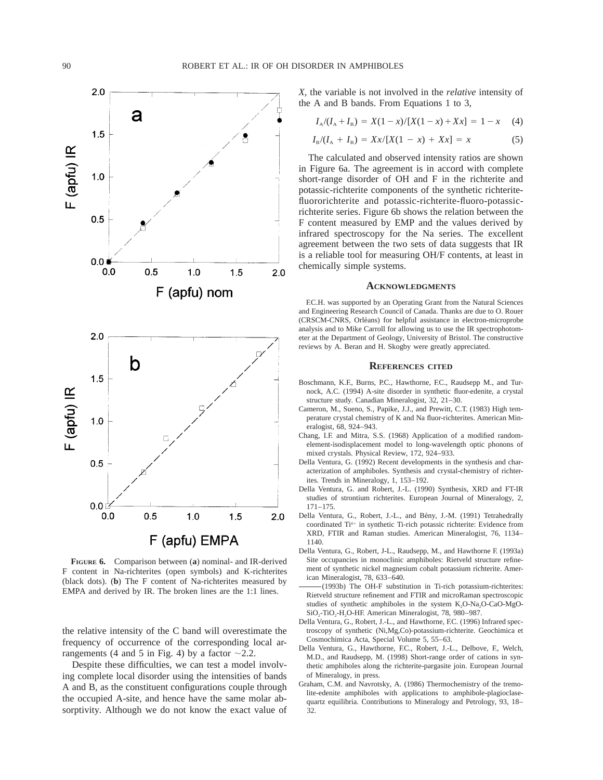

**FIGURE 6.** Comparison between (**a**) nominal- and IR-derived F content in Na-richterites (open symbols) and K-richterites (black dots). (**b**) The F content of Na-richterites measured by EMPA and derived by IR. The broken lines are the 1:1 lines.

the relative intensity of the C band will overestimate the frequency of occurrence of the corresponding local arrangements (4 and 5 in Fig. 4) by a factor  $\sim$ 2.2.

Despite these difficulties, we can test a model involving complete local disorder using the intensities of bands A and B, as the constituent configurations couple through the occupied A-site, and hence have the same molar absorptivity. Although we do not know the exact value of *X,* the variable is not involved in the *relative* intensity of the A and B bands. From Equations 1 to 3,

$$
I_A/(I_A + I_B) = X(1-x)/[X(1-x) + Xx] = 1-x \quad (4)
$$

$$
I_{\rm B}/(I_{\rm A} + I_{\rm B}) = Xx/[X(1 - x) + Xx] = x \tag{5}
$$

The calculated and observed intensity ratios are shown in Figure 6a. The agreement is in accord with complete short-range disorder of OH and F in the richterite and potassic-richterite components of the synthetic richteritefluororichterite and potassic-richterite-fluoro-potassicrichterite series. Figure 6b shows the relation between the F content measured by EMP and the values derived by infrared spectroscopy for the Na series. The excellent agreement between the two sets of data suggests that IR is a reliable tool for measuring OH/F contents, at least in chemically simple systems.

## **ACKNOWLEDGMENTS**

F.C.H. was supported by an Operating Grant from the Natural Sciences and Engineering Research Council of Canada. Thanks are due to O. Rouer (CRSCM-CNRS, Orléans) for helpful assistance in electron-microprobe analysis and to Mike Carroll for allowing us to use the IR spectrophotometer at the Department of Geology, University of Bristol. The constructive reviews by A. Beran and H. Skogby were greatly appreciated.

#### **REFERENCES CITED**

- Boschmann, K.F., Burns, P.C., Hawthorne, F.C., Raudsepp M., and Turnock, A.C. (1994) A-site disorder in synthetic fluor-edenite, a crystal structure study. Canadian Mineralogist, 32, 21–30.
- Cameron, M., Sueno, S., Papike, J.J., and Prewitt, C.T. (1983) High temperature crystal chemistry of K and Na fluor-richterites. American Mineralogist, 68, 924–943.
- Chang, I.F. and Mitra, S.S. (1968) Application of a modified randomelement-isodisplacement model to long-wavelength optic phonons of mixed crystals. Physical Review, 172, 924–933.
- Della Ventura, G. (1992) Recent developments in the synthesis and characterization of amphiboles. Synthesis and crystal-chemistry of richterites. Trends in Mineralogy, 1, 153–192.
- Della Ventura, G. and Robert, J.-L. (1990) Synthesis, XRD and FT-IR studies of strontium richterites. European Journal of Mineralogy, 2, 171–175.
- Della Ventura, G., Robert, J.-L., and Bény, J.-M. (1991) Tetrahedrally coordinated Ti<sup>4+</sup> in synthetic Ti-rich potassic richterite: Evidence from XRD, FTIR and Raman studies. American Mineralogist, 76, 1134– 1140.
- Della Ventura, G., Robert, J-L., Raudsepp, M., and Hawthorne F. (1993a) Site occupancies in monoclinic amphiboles: Rietveld structure refinement of synthetic nickel magnesium cobalt potassium richterite. American Mineralogist, 78, 633–640.
- (1993b) The OH-F substitution in Ti-rich potassium-richterites: Rietveld structure refinement and FTIR and microRaman spectroscopic studies of synthetic amphiboles in the system  $K_2O-Na_2O-CaO-MgO-$ SiO<sub>2</sub>-TiO<sub>2</sub>-H<sub>2</sub>O-HF. American Mineralogist, 78, 980-987.
- Della Ventura, G., Robert, J.-L., and Hawthorne, F.C. (1996) Infrared spectroscopy of synthetic (Ni,Mg,Co)-potassium-richterite. Geochimica et Cosmochimica Acta, Special Volume 5, 55–63.
- Della Ventura, G., Hawthorne, F.C., Robert, J.-L., Delbove, F., Welch, M.D., and Raudsepp, M. (1998) Short-range order of cations in synthetic amphiboles along the richterite-pargasite join. European Journal of Mineralogy, in press.
- Graham, C.M. and Navrotsky, A. (1986) Thermochemistry of the tremolite-edenite amphiboles with applications to amphibole-plagioclasequartz equilibria. Contributions to Mineralogy and Petrology, 93, 18– 32.